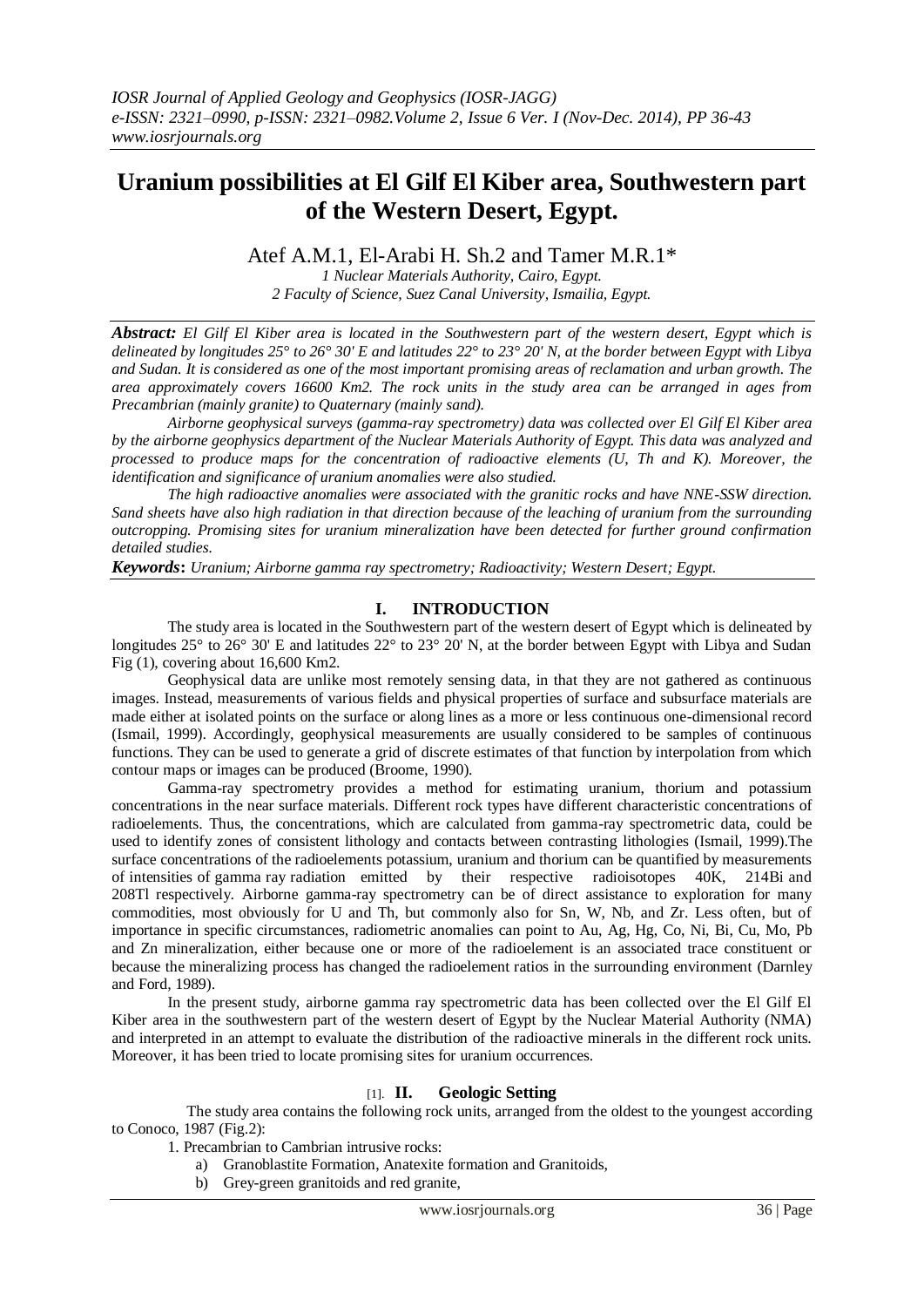# **Uranium possibilities at El Gilf El Kiber area, Southwestern part of the Western Desert, Egypt.**

## Atef A.M.1, El-Arabi H. Sh.2 and Tamer M.R.1\*

*1 Nuclear Materials Authority, Cairo, Egypt. 2 Faculty of Science, Suez Canal University, Ismailia, Egypt.*

*Abstract: El Gilf El Kiber area is located in the Southwestern part of the western desert, Egypt which is delineated by longitudes 25° to 26° 30' E and latitudes 22° to 23° 20' N, at the border between Egypt with Libya and Sudan. It is considered as one of the most important promising areas of reclamation and urban growth. The area approximately covers 16600 Km2. The rock units in the study area can be arranged in ages from Precambrian (mainly granite) to Quaternary (mainly sand).* 

*Airborne geophysical surveys (gamma-ray spectrometry) data was collected over El Gilf El Kiber area by the airborne geophysics department of the Nuclear Materials Authority of Egypt. This data was analyzed and processed to produce maps for the concentration of radioactive elements (U, Th and K). Moreover, the identification and significance of uranium anomalies were also studied.*

*The high radioactive anomalies were associated with the granitic rocks and have NNE-SSW direction. Sand sheets have also high radiation in that direction because of the leaching of uranium from the surrounding outcropping. Promising sites for uranium mineralization have been detected for further ground confirmation detailed studies.* 

*Keywords***:** *Uranium; Airborne gamma ray spectrometry; Radioactivity; Western Desert; Egypt.*

## **I. INTRODUCTION**

The study area is located in the Southwestern part of the western desert of Egypt which is delineated by longitudes 25° to 26° 30' E and latitudes 22° to 23° 20' N, at the border between Egypt with Libya and Sudan Fig (1), covering about 16,600 Km2.

Geophysical data are unlike most remotely sensing data, in that they are not gathered as continuous images. Instead, measurements of various fields and physical properties of surface and subsurface materials are made either at isolated points on the surface or along lines as a more or less continuous one-dimensional record (Ismail, 1999). Accordingly, geophysical measurements are usually considered to be samples of continuous functions. They can be used to generate a grid of discrete estimates of that function by interpolation from which contour maps or images can be produced (Broome, 1990).

Gamma-ray spectrometry provides a method for estimating uranium, thorium and potassium concentrations in the near surface materials. Different rock types have different characteristic concentrations of radioelements. Thus, the concentrations, which are calculated from gamma-ray spectrometric data, could be used to identify zones of consistent lithology and contacts between contrasting lithologies (Ismail, 1999).The surface concentrations of the radioelements potassium, uranium and thorium can be quantified by measurements of intensities of gamma ray radiation emitted by their respective radioisotopes 40K, 214Bi and 208Tl respectively. Airborne gamma-ray spectrometry can be of direct assistance to exploration for many commodities, most obviously for U and Th, but commonly also for Sn, W, Nb, and Zr. Less often, but of importance in specific circumstances, radiometric anomalies can point to Au, Ag, Hg, Co, Ni, Bi, Cu, Mo, Pb and Zn mineralization, either because one or more of the radioelement is an associated trace constituent or because the mineralizing process has changed the radioelement ratios in the surrounding environment (Darnley and Ford, 1989).

In the present study, airborne gamma ray spectrometric data has been collected over the El Gilf El Kiber area in the southwestern part of the western desert of Egypt by the Nuclear Material Authority (NMA) and interpreted in an attempt to evaluate the distribution of the radioactive minerals in the different rock units. Moreover, it has been tried to locate promising sites for uranium occurrences.

## [1]. **II. Geologic Setting**

 The study area contains the following rock units, arranged from the oldest to the youngest according to Conoco, 1987 (Fig.2):

1. Precambrian to Cambrian intrusive rocks:

- a) Granoblastite Formation, Anatexite formation and Granitoids,
- b) Grey-green granitoids and red granite,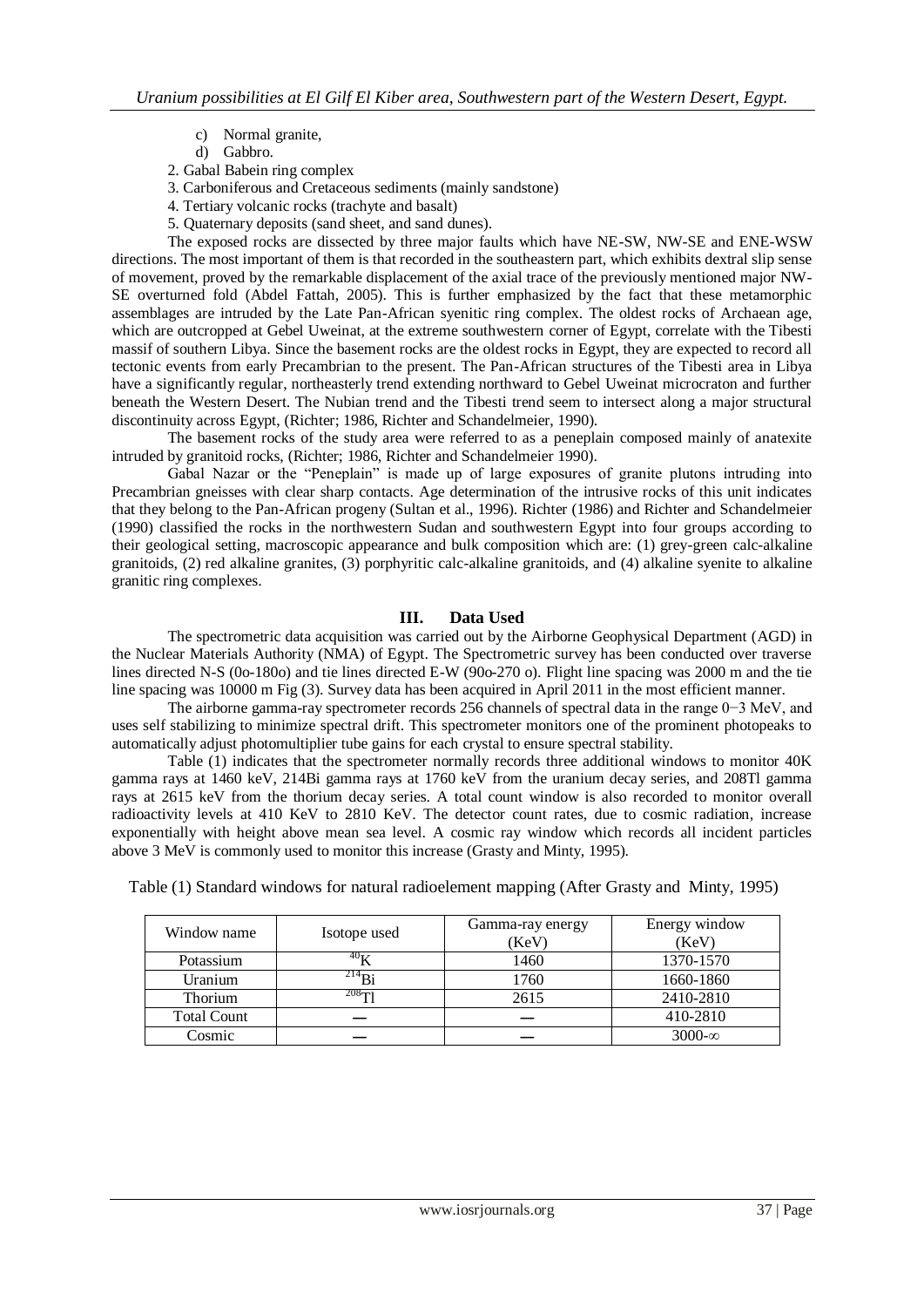- c) Normal granite,
- d) Gabbro.
- 2. Gabal Babein ring complex
- 3. Carboniferous and Cretaceous sediments (mainly sandstone)
- 4. Tertiary volcanic rocks (trachyte and basalt)
- 5. Quaternary deposits (sand sheet, and sand dunes).

The exposed rocks are dissected by three major faults which have NE-SW, NW-SE and ENE-WSW directions. The most important of them is that recorded in the southeastern part, which exhibits dextral slip sense of movement, proved by the remarkable displacement of the axial trace of the previously mentioned major NW-SE overturned fold (Abdel Fattah, 2005). This is further emphasized by the fact that these metamorphic assemblages are intruded by the Late Pan-African syenitic ring complex. The oldest rocks of Archaean age, which are outcropped at Gebel Uweinat, at the extreme southwestern corner of Egypt, correlate with the Tibesti massif of southern Libya. Since the basement rocks are the oldest rocks in Egypt, they are expected to record all tectonic events from early Precambrian to the present. The Pan-African structures of the Tibesti area in Libya have a significantly regular, northeasterly trend extending northward to Gebel Uweinat microcraton and further beneath the Western Desert. The Nubian trend and the Tibesti trend seem to intersect along a major structural discontinuity across Egypt, (Richter; 1986, Richter and Schandelmeier, 1990).

The basement rocks of the study area were referred to as a peneplain composed mainly of anatexite intruded by granitoid rocks, (Richter; 1986, Richter and Schandelmeier 1990).

Gabal Nazar or the "Peneplain" is made up of large exposures of granite plutons intruding into Precambrian gneisses with clear sharp contacts. Age determination of the intrusive rocks of this unit indicates that they belong to the Pan-African progeny (Sultan et al., 1996). Richter (1986) and Richter and Schandelmeier (1990) classified the rocks in the northwestern Sudan and southwestern Egypt into four groups according to their geological setting, macroscopic appearance and bulk composition which are: (1) grey-green calc-alkaline granitoids, (2) red alkaline granites, (3) porphyritic calc-alkaline granitoids, and (4) alkaline syenite to alkaline granitic ring complexes.

### **III. Data Used**

The spectrometric data acquisition was carried out by the Airborne Geophysical Department (AGD) in the Nuclear Materials Authority (NMA) of Egypt. The Spectrometric survey has been conducted over traverse lines directed N-S (0o-180o) and tie lines directed E-W (90o-270 o). Flight line spacing was 2000 m and the tie line spacing was 10000 m Fig (3). Survey data has been acquired in April 2011 in the most efficient manner.

The airborne gamma-ray spectrometer records 256 channels of spectral data in the range 0−3 MeV, and uses self stabilizing to minimize spectral drift. This spectrometer monitors one of the prominent photopeaks to automatically adjust photomultiplier tube gains for each crystal to ensure spectral stability.

Table (1) indicates that the spectrometer normally records three additional windows to monitor 40K gamma rays at 1460 keV, 214Bi gamma rays at 1760 keV from the uranium decay series, and 208Tl gamma rays at 2615 keV from the thorium decay series. A total count window is also recorded to monitor overall radioactivity levels at 410 KeV to 2810 KeV. The detector count rates, due to cosmic radiation, increase exponentially with height above mean sea level. A cosmic ray window which records all incident particles above 3 MeV is commonly used to monitor this increase (Grasty and Minty, 1995).

| Window name        | Isotope used    | Gamma-ray energy<br>(KeV) | Energy window<br>(KeV) |
|--------------------|-----------------|---------------------------|------------------------|
| Potassium          | 40 <sub>U</sub> | 1460                      | 1370-1570              |
| Uranium            | $^{214}Bi$      | 1760                      | 1660-1860              |
| <b>Thorium</b>     | $208 - 1$       | 2615                      | 2410-2810              |
| <b>Total Count</b> |                 |                           | 410-2810               |
| Cosmic             |                 |                           | $3000-\infty$          |

Table (1) Standard windows for natural radioelement mapping (After Grasty and Minty, 1995)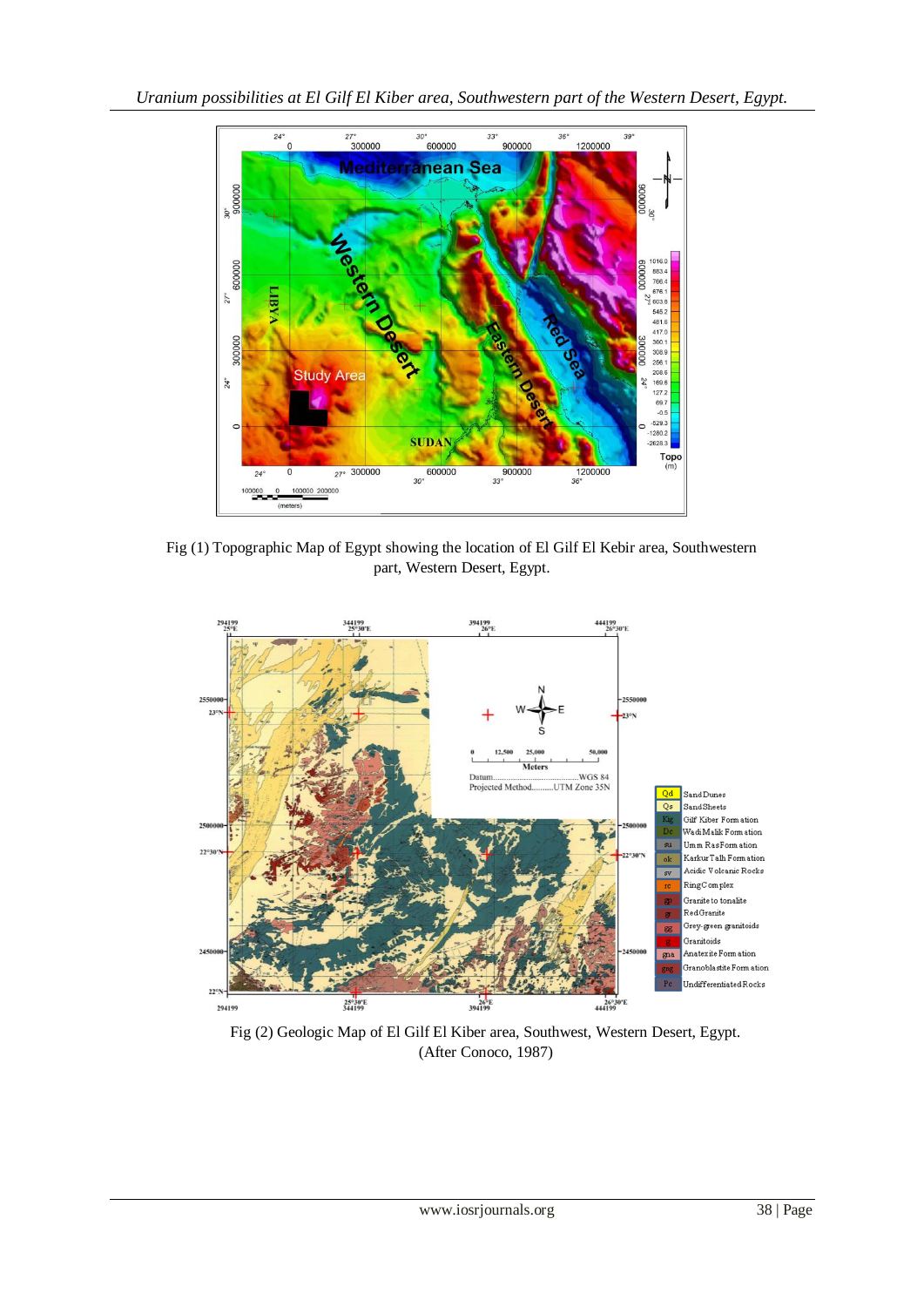

Fig (1) Topographic Map of Egypt showing the location of El Gilf El Kebir area, Southwestern part, Western Desert, Egypt.



Fig (2) Geologic Map of El Gilf El Kiber area, Southwest, Western Desert, Egypt. (After Conoco, 1987)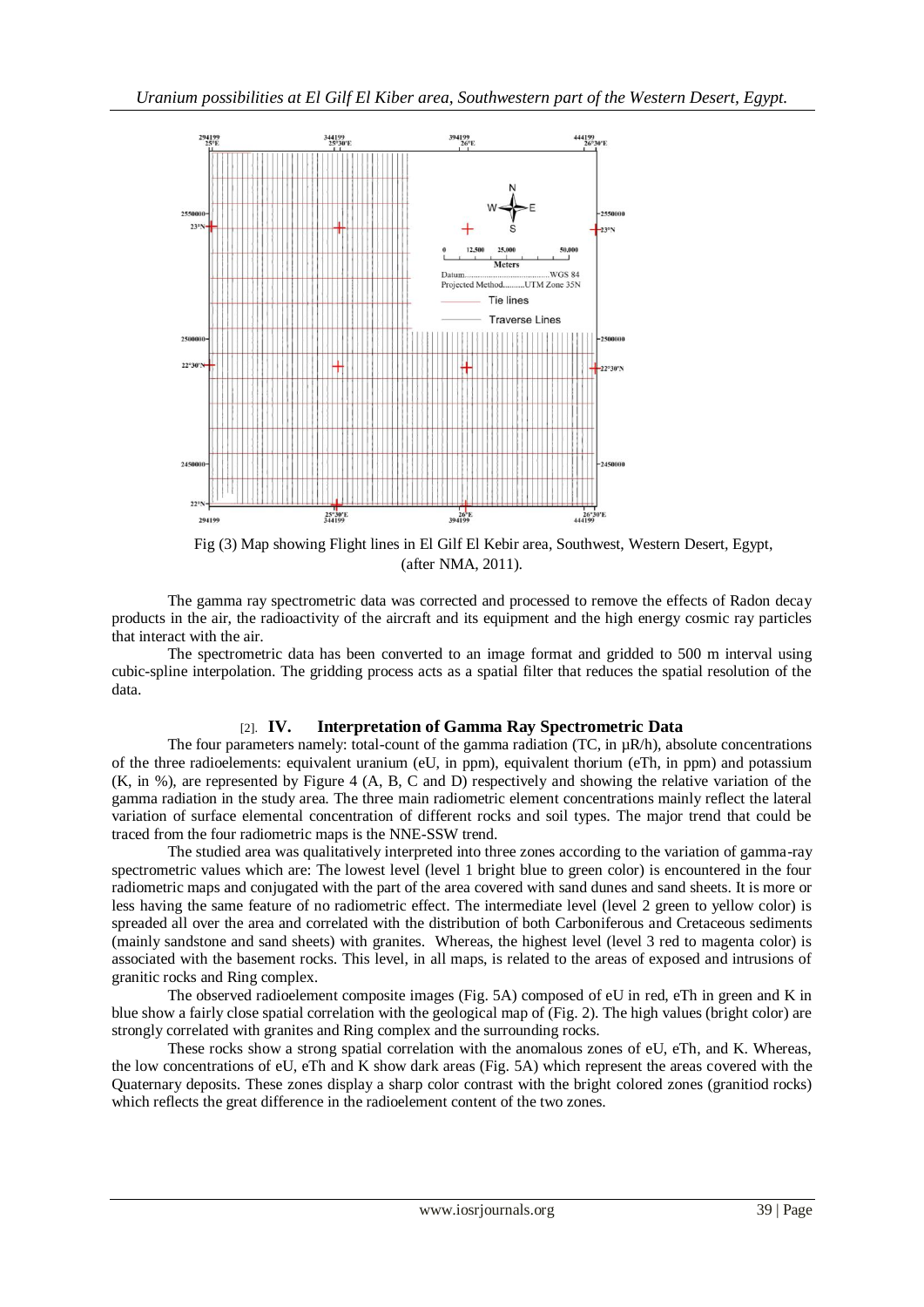

Fig (3) Map showing Flight lines in El Gilf El Kebir area, Southwest, Western Desert, Egypt, (after NMA, 2011).

The gamma ray spectrometric data was corrected and processed to remove the effects of Radon decay products in the air, the radioactivity of the aircraft and its equipment and the high energy cosmic ray particles that interact with the air.

The spectrometric data has been converted to an image format and gridded to 500 m interval using cubic-spline interpolation. The gridding process acts as a spatial filter that reduces the spatial resolution of the data.

### [2]. **IV. Interpretation of Gamma Ray Spectrometric Data**

The four parameters namely: total-count of the gamma radiation (TC, in  $\mu$ R/h), absolute concentrations of the three radioelements: equivalent uranium (eU, in ppm), equivalent thorium (eTh, in ppm) and potassium (K, in %), are represented by Figure 4 (A, B, C and D) respectively and showing the relative variation of the gamma radiation in the study area. The three main radiometric element concentrations mainly reflect the lateral variation of surface elemental concentration of different rocks and soil types. The major trend that could be traced from the four radiometric maps is the NNE-SSW trend.

The studied area was qualitatively interpreted into three zones according to the variation of gamma-ray spectrometric values which are: The lowest level (level 1 bright blue to green color) is encountered in the four radiometric maps and conjugated with the part of the area covered with sand dunes and sand sheets. It is more or less having the same feature of no radiometric effect. The intermediate level (level 2 green to yellow color) is spreaded all over the area and correlated with the distribution of both Carboniferous and Cretaceous sediments (mainly sandstone and sand sheets) with granites. Whereas, the highest level (level 3 red to magenta color) is associated with the basement rocks. This level, in all maps, is related to the areas of exposed and intrusions of granitic rocks and Ring complex.

The observed radioelement composite images (Fig. 5A) composed of eU in red, eTh in green and K in blue show a fairly close spatial correlation with the geological map of (Fig. 2). The high values (bright color) are strongly correlated with granites and Ring complex and the surrounding rocks.

These rocks show a strong spatial correlation with the anomalous zones of eU, eTh, and K. Whereas, the low concentrations of eU, eTh and K show dark areas (Fig. 5A) which represent the areas covered with the Quaternary deposits. These zones display a sharp color contrast with the bright colored zones (granitiod rocks) which reflects the great difference in the radioelement content of the two zones.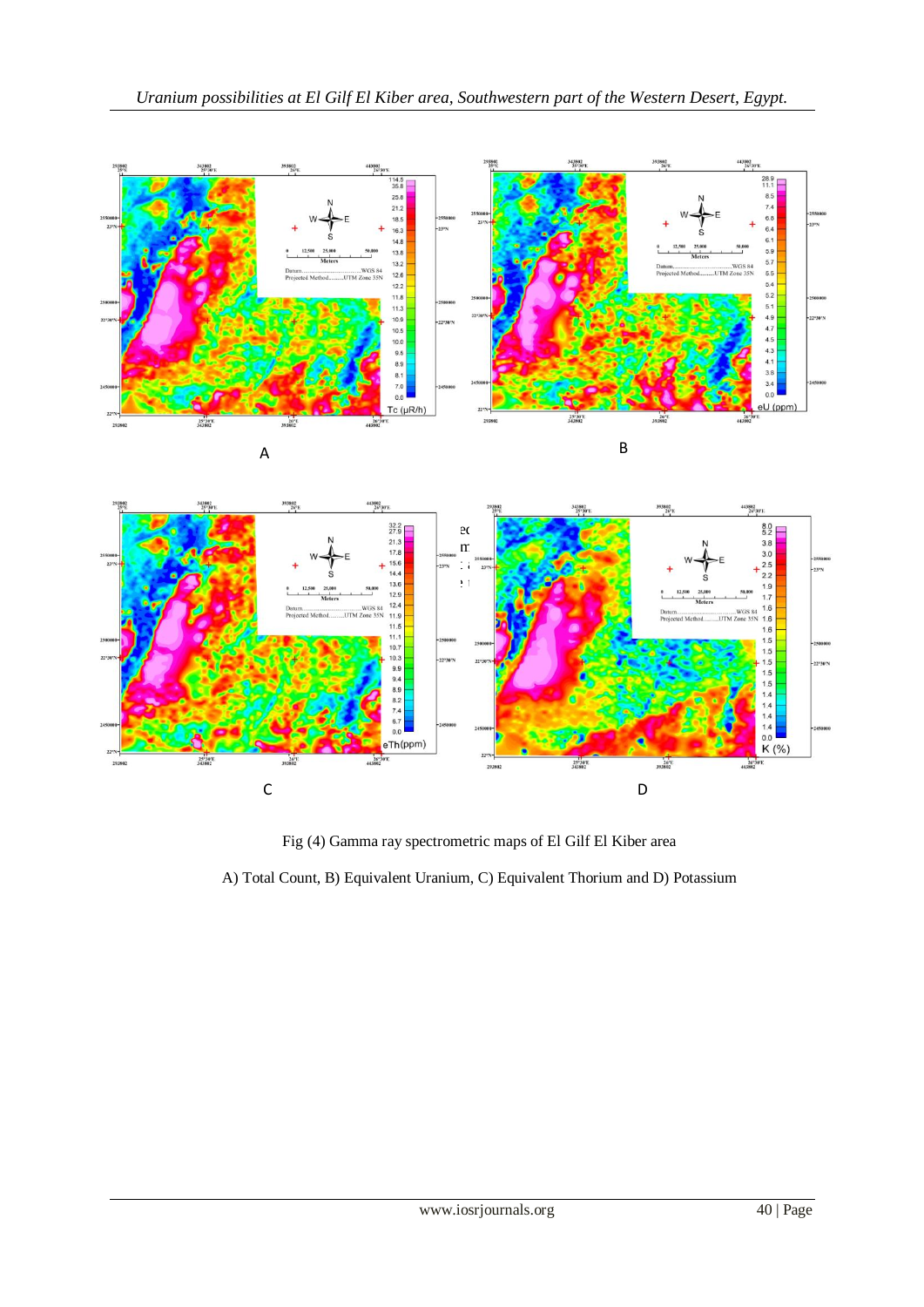







Fig (4) Gamma ray spectrometric maps of El Gilf El Kiber area

A) Total Count, B) Equivalent Uranium, C) Equivalent Thorium and D) Potassium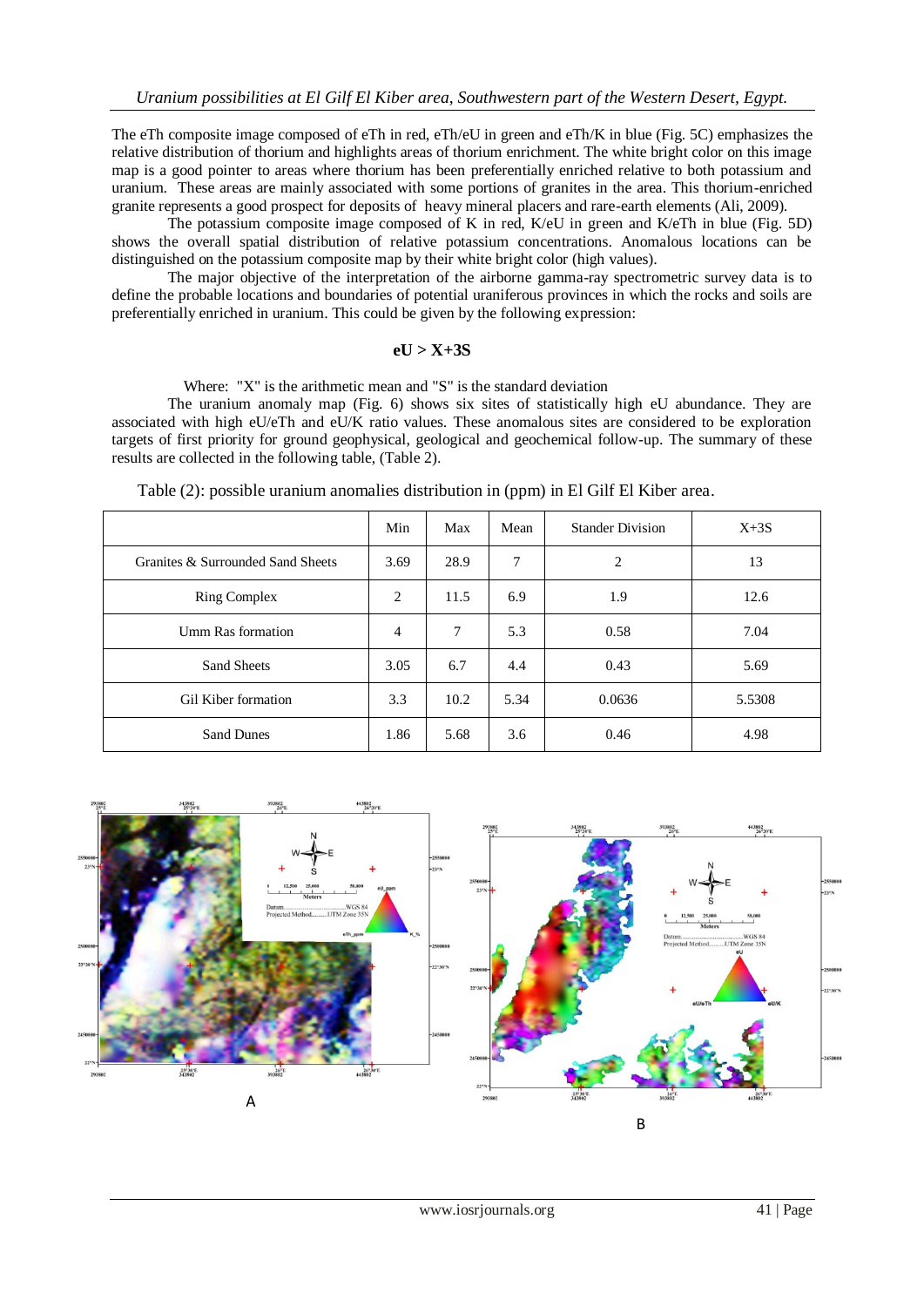The eTh composite image composed of eTh in red, eTh/eU in green and eTh/K in blue (Fig. 5C) emphasizes the relative distribution of thorium and highlights areas of thorium enrichment. The white bright color on this image map is a good pointer to areas where thorium has been preferentially enriched relative to both potassium and uranium. These areas are mainly associated with some portions of granites in the area. This thorium-enriched granite represents a good prospect for deposits of heavy mineral placers and rare-earth elements (Ali, 2009).

The potassium composite image composed of K in red, K/eU in green and K/eTh in blue (Fig. 5D) shows the overall spatial distribution of relative potassium concentrations. Anomalous locations can be distinguished on the potassium composite map by their white bright color (high values).

The major objective of the interpretation of the airborne gamma-ray spectrometric survey data is to define the probable locations and boundaries of potential uraniferous provinces in which the rocks and soils are preferentially enriched in uranium. This could be given by the following expression:

#### **eU > X+3S**

Where: "X" is the arithmetic mean and "S" is the standard deviation

The uranium anomaly map (Fig. 6) shows six sites of statistically high eU abundance. They are associated with high eU/eTh and eU/K ratio values. These anomalous sites are considered to be exploration targets of first priority for ground geophysical, geological and geochemical follow-up. The summary of these results are collected in the following table, (Table 2).

|                                   | Min            | Max    | Mean | <b>Stander Division</b> | $X+3S$ |
|-----------------------------------|----------------|--------|------|-------------------------|--------|
| Granites & Surrounded Sand Sheets | 3.69           | 28.9   | 7    | 2                       | 13     |
| <b>Ring Complex</b>               | 2              | 11.5   | 6.9  | 1.9                     | 12.6   |
| Umm Ras formation                 | $\overline{4}$ | $\tau$ | 5.3  | 0.58                    | 7.04   |
| Sand Sheets                       | 3.05           | 6.7    | 4.4  | 0.43                    | 5.69   |
| Gil Kiber formation               | 3.3            | 10.2   | 5.34 | 0.0636                  | 5.5308 |
| <b>Sand Dunes</b>                 | 1.86           | 5.68   | 3.6  | 0.46                    | 4.98   |

Table (2): possible uranium anomalies distribution in (ppm) in El Gilf El Kiber area.

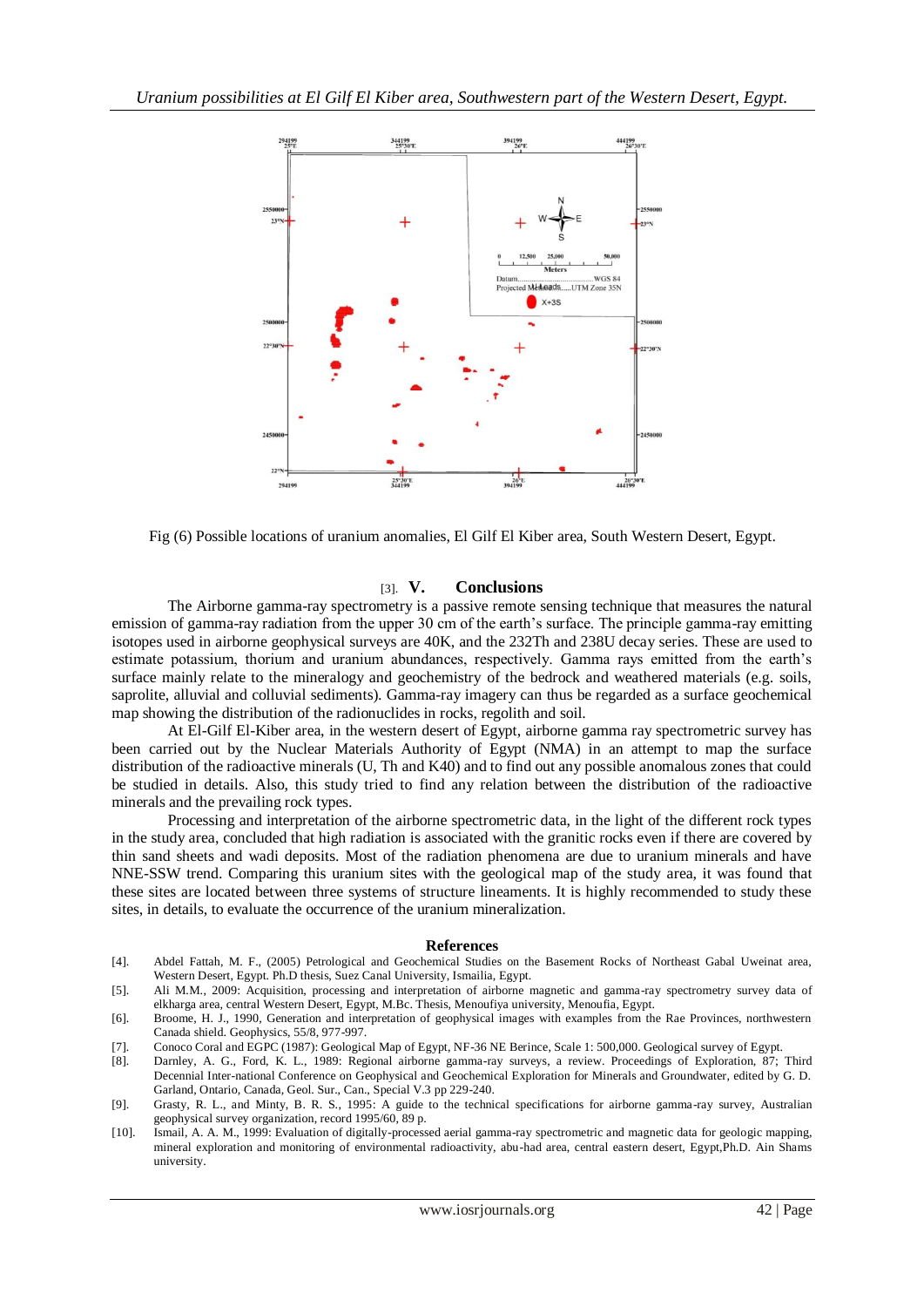

Fig (6) Possible locations of uranium anomalies, El Gilf El Kiber area, South Western Desert, Egypt.

### [3]. **V. Conclusions**

The Airborne gamma-ray spectrometry is a passive remote sensing technique that measures the natural emission of gamma-ray radiation from the upper 30 cm of the earth's surface. The principle gamma-ray emitting isotopes used in airborne geophysical surveys are 40K, and the 232Th and 238U decay series. These are used to estimate potassium, thorium and uranium abundances, respectively. Gamma rays emitted from the earth's surface mainly relate to the mineralogy and geochemistry of the bedrock and weathered materials (e.g. soils, saprolite, alluvial and colluvial sediments). Gamma-ray imagery can thus be regarded as a surface geochemical map showing the distribution of the radionuclides in rocks, regolith and soil.

At El-Gilf El-Kiber area, in the western desert of Egypt, airborne gamma ray spectrometric survey has been carried out by the Nuclear Materials Authority of Egypt (NMA) in an attempt to map the surface distribution of the radioactive minerals (U, Th and K40) and to find out any possible anomalous zones that could be studied in details. Also, this study tried to find any relation between the distribution of the radioactive minerals and the prevailing rock types.

Processing and interpretation of the airborne spectrometric data, in the light of the different rock types in the study area, concluded that high radiation is associated with the granitic rocks even if there are covered by thin sand sheets and wadi deposits. Most of the radiation phenomena are due to uranium minerals and have NNE-SSW trend. Comparing this uranium sites with the geological map of the study area, it was found that these sites are located between three systems of structure lineaments. It is highly recommended to study these sites, in details, to evaluate the occurrence of the uranium mineralization.

#### **References**

- [4]. Abdel Fattah, M. F., (2005) Petrological and Geochemical Studies on the Basement Rocks of Northeast Gabal Uweinat area, Western Desert, Egypt. Ph.D thesis, Suez Canal University, Ismailia, Egypt.
- [5]. Ali M.M., 2009: Acquisition, processing and interpretation of airborne magnetic and gamma-ray spectrometry survey data of elkharga area, central Western Desert, Egypt, M.Bc. Thesis, Menoufiya university, Menoufia, Egypt.
- [6]. Broome, H. J., 1990, Generation and interpretation of geophysical images with examples from the Rae Provinces, northwestern Canada shield. Geophysics, 55/8, 977-997.
- [7]. Conoco Coral and EGPC (1987): Geological Map of Egypt, NF-36 NE Berince, Scale 1: 500,000. Geological survey of Egypt.
- [8]. Darnley, A. G., Ford, K. L., 1989: Regional airborne gamma-ray surveys, a review. Proceedings of Exploration, 87; Third Decennial Inter-national Conference on Geophysical and Geochemical Exploration for Minerals and Groundwater, edited by G. D. Garland, Ontario, Canada, Geol. Sur., Can., Special V.3 pp 229-240.
- [9]. Grasty, R. L., and Minty, B. R. S., 1995: A guide to the technical specifications for airborne gamma-ray survey, Australian geophysical survey organization, record 1995/60, 89 p.
- [10]. Ismail, A. A. M., 1999: Evaluation of digitally-processed aerial gamma-ray spectrometric and magnetic data for geologic mapping, mineral exploration and monitoring of environmental radioactivity, abu-had area, central eastern desert, Egypt,Ph.D. Ain Shams university.